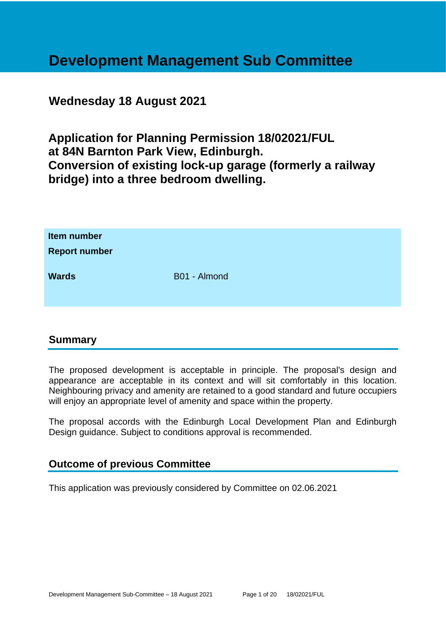# **Development Management Sub Committee**

# **Wednesday 18 August 2021**

**Application for Planning Permission 18/02021/FUL at 84N Barnton Park View, Edinburgh. Conversion of existing lock-up garage (formerly a railway bridge) into a three bedroom dwelling.**

| Item number<br><b>Report number</b> |              |
|-------------------------------------|--------------|
| <b>Wards</b>                        | B01 - Almond |

# **Summary**

The proposed development is acceptable in principle. The proposal's design and appearance are acceptable in its context and will sit comfortably in this location. Neighbouring privacy and amenity are retained to a good standard and future occupiers will enjoy an appropriate level of amenity and space within the property.

The proposal accords with the Edinburgh Local Development Plan and Edinburgh Design guidance. Subject to conditions approval is recommended.

# **Outcome of previous Committee**

This application was previously considered by Committee on 02.06.2021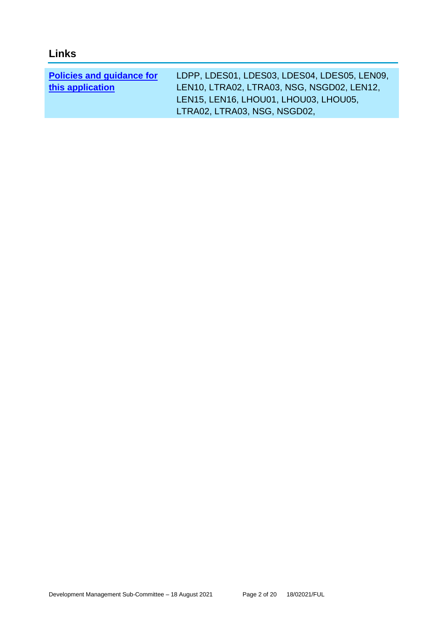| <b>Policies and guidance for</b> | LDPP, LDES01, LDES03, LDES04, LDES05, LEN09, |
|----------------------------------|----------------------------------------------|
| this application                 | LEN10, LTRA02, LTRA03, NSG, NSGD02, LEN12,   |
|                                  | LEN15, LEN16, LHOU01, LHOU03, LHOU05,        |
|                                  | LTRA02, LTRA03, NSG, NSGD02,                 |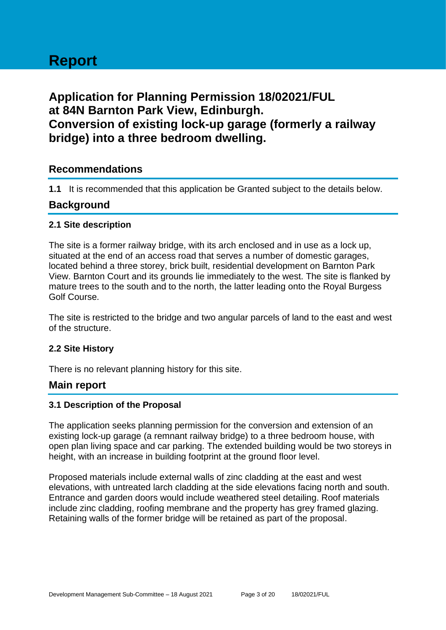# **Report**

# **Application for Planning Permission 18/02021/FUL at 84N Barnton Park View, Edinburgh. Conversion of existing lock-up garage (formerly a railway bridge) into a three bedroom dwelling.**

# **Recommendations**

**1.1** It is recommended that this application be Granted subject to the details below.

# **Background**

#### **2.1 Site description**

The site is a former railway bridge, with its arch enclosed and in use as a lock up, situated at the end of an access road that serves a number of domestic garages, located behind a three storey, brick built, residential development on Barnton Park View. Barnton Court and its grounds lie immediately to the west. The site is flanked by mature trees to the south and to the north, the latter leading onto the Royal Burgess Golf Course.

The site is restricted to the bridge and two angular parcels of land to the east and west of the structure.

#### **2.2 Site History**

There is no relevant planning history for this site.

# **Main report**

#### **3.1 Description of the Proposal**

The application seeks planning permission for the conversion and extension of an existing lock-up garage (a remnant railway bridge) to a three bedroom house, with open plan living space and car parking. The extended building would be two storeys in height, with an increase in building footprint at the ground floor level.

Proposed materials include external walls of zinc cladding at the east and west elevations, with untreated larch cladding at the side elevations facing north and south. Entrance and garden doors would include weathered steel detailing. Roof materials include zinc cladding, roofing membrane and the property has grey framed glazing. Retaining walls of the former bridge will be retained as part of the proposal.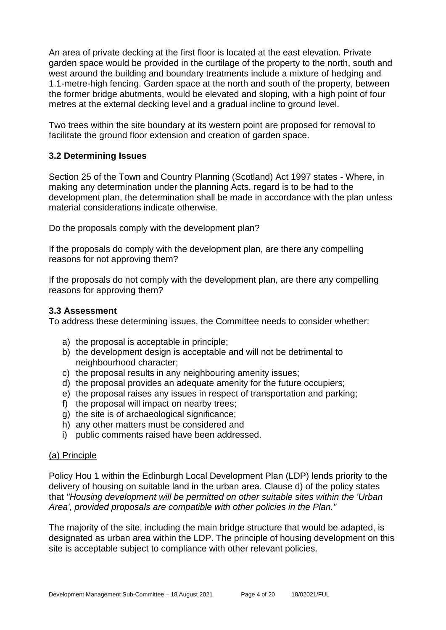An area of private decking at the first floor is located at the east elevation. Private garden space would be provided in the curtilage of the property to the north, south and west around the building and boundary treatments include a mixture of hedging and 1.1-metre-high fencing. Garden space at the north and south of the property, between the former bridge abutments, would be elevated and sloping, with a high point of four metres at the external decking level and a gradual incline to ground level.

Two trees within the site boundary at its western point are proposed for removal to facilitate the ground floor extension and creation of garden space.

#### **3.2 Determining Issues**

Section 25 of the Town and Country Planning (Scotland) Act 1997 states - Where, in making any determination under the planning Acts, regard is to be had to the development plan, the determination shall be made in accordance with the plan unless material considerations indicate otherwise.

Do the proposals comply with the development plan?

If the proposals do comply with the development plan, are there any compelling reasons for not approving them?

If the proposals do not comply with the development plan, are there any compelling reasons for approving them?

#### **3.3 Assessment**

To address these determining issues, the Committee needs to consider whether:

- a) the proposal is acceptable in principle;
- b) the development design is acceptable and will not be detrimental to neighbourhood character;
- c) the proposal results in any neighbouring amenity issues;
- d) the proposal provides an adequate amenity for the future occupiers;
- e) the proposal raises any issues in respect of transportation and parking;
- f) the proposal will impact on nearby trees;
- g) the site is of archaeological significance;
- h) any other matters must be considered and
- i) public comments raised have been addressed.

#### (a) Principle

Policy Hou 1 within the Edinburgh Local Development Plan (LDP) lends priority to the delivery of housing on suitable land in the urban area. Clause d) of the policy states that *"Housing development will be permitted on other suitable sites within the 'Urban Area', provided proposals are compatible with other policies in the Plan."*

The majority of the site, including the main bridge structure that would be adapted, is designated as urban area within the LDP. The principle of housing development on this site is acceptable subject to compliance with other relevant policies.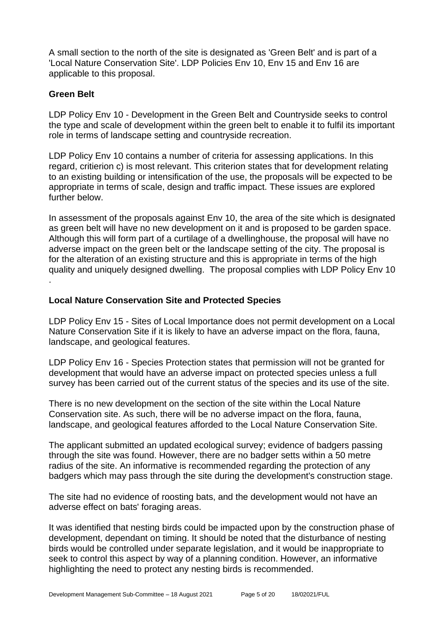A small section to the north of the site is designated as 'Green Belt' and is part of a 'Local Nature Conservation Site'. LDP Policies Env 10, Env 15 and Env 16 are applicable to this proposal.

#### **Green Belt**

LDP Policy Env 10 - Development in the Green Belt and Countryside seeks to control the type and scale of development within the green belt to enable it to fulfil its important role in terms of landscape setting and countryside recreation.

LDP Policy Env 10 contains a number of criteria for assessing applications. In this regard, critierion c) is most relevant. This criterion states that for development relating to an existing building or intensification of the use, the proposals will be expected to be appropriate in terms of scale, design and traffic impact. These issues are explored further below.

In assessment of the proposals against Env 10, the area of the site which is designated as green belt will have no new development on it and is proposed to be garden space. Although this will form part of a curtilage of a dwellinghouse, the proposal will have no adverse impact on the green belt or the landscape setting of the city. The proposal is for the alteration of an existing structure and this is appropriate in terms of the high quality and uniquely designed dwelling. The proposal complies with LDP Policy Env 10 .

#### **Local Nature Conservation Site and Protected Species**

LDP Policy Env 15 - Sites of Local Importance does not permit development on a Local Nature Conservation Site if it is likely to have an adverse impact on the flora, fauna, landscape, and geological features.

LDP Policy Env 16 - Species Protection states that permission will not be granted for development that would have an adverse impact on protected species unless a full survey has been carried out of the current status of the species and its use of the site.

There is no new development on the section of the site within the Local Nature Conservation site. As such, there will be no adverse impact on the flora, fauna, landscape, and geological features afforded to the Local Nature Conservation Site.

The applicant submitted an updated ecological survey; evidence of badgers passing through the site was found. However, there are no badger setts within a 50 metre radius of the site. An informative is recommended regarding the protection of any badgers which may pass through the site during the development's construction stage.

The site had no evidence of roosting bats, and the development would not have an adverse effect on bats' foraging areas.

It was identified that nesting birds could be impacted upon by the construction phase of development, dependant on timing. It should be noted that the disturbance of nesting birds would be controlled under separate legislation, and it would be inappropriate to seek to control this aspect by way of a planning condition. However, an informative highlighting the need to protect any nesting birds is recommended.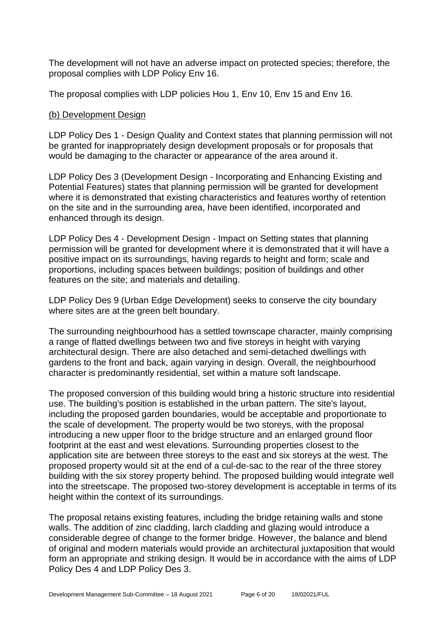The development will not have an adverse impact on protected species; therefore, the proposal complies with LDP Policy Env 16.

The proposal complies with LDP policies Hou 1, Env 10, Env 15 and Env 16.

#### (b) Development Design

LDP Policy Des 1 - Design Quality and Context states that planning permission will not be granted for inappropriately design development proposals or for proposals that would be damaging to the character or appearance of the area around it.

LDP Policy Des 3 (Development Design - Incorporating and Enhancing Existing and Potential Features) states that planning permission will be granted for development where it is demonstrated that existing characteristics and features worthy of retention on the site and in the surrounding area, have been identified, incorporated and enhanced through its design.

LDP Policy Des 4 - Development Design - Impact on Setting states that planning permission will be granted for development where it is demonstrated that it will have a positive impact on its surroundings, having regards to height and form; scale and proportions, including spaces between buildings; position of buildings and other features on the site; and materials and detailing.

LDP Policy Des 9 (Urban Edge Development) seeks to conserve the city boundary where sites are at the green belt boundary.

The surrounding neighbourhood has a settled townscape character, mainly comprising a range of flatted dwellings between two and five storeys in height with varying architectural design. There are also detached and semi-detached dwellings with gardens to the front and back, again varying in design. Overall, the neighbourhood character is predominantly residential, set within a mature soft landscape.

The proposed conversion of this building would bring a historic structure into residential use. The building's position is established in the urban pattern. The site's layout, including the proposed garden boundaries, would be acceptable and proportionate to the scale of development. The property would be two storeys, with the proposal introducing a new upper floor to the bridge structure and an enlarged ground floor footprint at the east and west elevations. Surrounding properties closest to the application site are between three storeys to the east and six storeys at the west. The proposed property would sit at the end of a cul-de-sac to the rear of the three storey building with the six storey property behind. The proposed building would integrate well into the streetscape. The proposed two-storey development is acceptable in terms of its height within the context of its surroundings.

The proposal retains existing features, including the bridge retaining walls and stone walls. The addition of zinc cladding, larch cladding and glazing would introduce a considerable degree of change to the former bridge. However, the balance and blend of original and modern materials would provide an architectural juxtaposition that would form an appropriate and striking design. It would be in accordance with the aims of LDP Policy Des 4 and LDP Policy Des 3.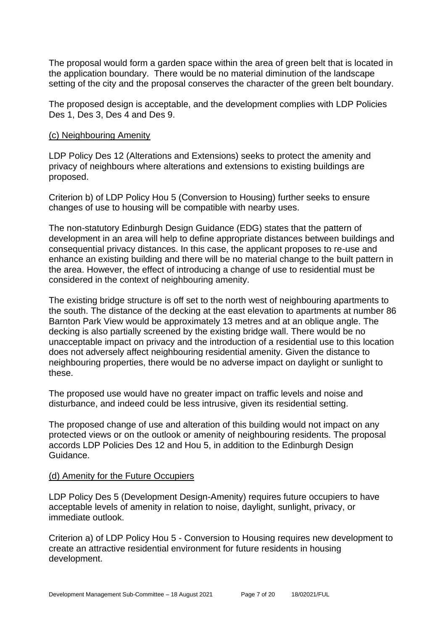The proposal would form a garden space within the area of green belt that is located in the application boundary. There would be no material diminution of the landscape setting of the city and the proposal conserves the character of the green belt boundary.

The proposed design is acceptable, and the development complies with LDP Policies Des 1, Des 3, Des 4 and Des 9.

#### (c) Neighbouring Amenity

LDP Policy Des 12 (Alterations and Extensions) seeks to protect the amenity and privacy of neighbours where alterations and extensions to existing buildings are proposed.

Criterion b) of LDP Policy Hou 5 (Conversion to Housing) further seeks to ensure changes of use to housing will be compatible with nearby uses.

The non-statutory Edinburgh Design Guidance (EDG) states that the pattern of development in an area will help to define appropriate distances between buildings and consequential privacy distances. In this case, the applicant proposes to re-use and enhance an existing building and there will be no material change to the built pattern in the area. However, the effect of introducing a change of use to residential must be considered in the context of neighbouring amenity.

The existing bridge structure is off set to the north west of neighbouring apartments to the south. The distance of the decking at the east elevation to apartments at number 86 Barnton Park View would be approximately 13 metres and at an oblique angle. The decking is also partially screened by the existing bridge wall. There would be no unacceptable impact on privacy and the introduction of a residential use to this location does not adversely affect neighbouring residential amenity. Given the distance to neighbouring properties, there would be no adverse impact on daylight or sunlight to these.

The proposed use would have no greater impact on traffic levels and noise and disturbance, and indeed could be less intrusive, given its residential setting.

The proposed change of use and alteration of this building would not impact on any protected views or on the outlook or amenity of neighbouring residents. The proposal accords LDP Policies Des 12 and Hou 5, in addition to the Edinburgh Design Guidance.

#### (d) Amenity for the Future Occupiers

LDP Policy Des 5 (Development Design-Amenity) requires future occupiers to have acceptable levels of amenity in relation to noise, daylight, sunlight, privacy, or immediate outlook.

Criterion a) of LDP Policy Hou 5 - Conversion to Housing requires new development to create an attractive residential environment for future residents in housing development.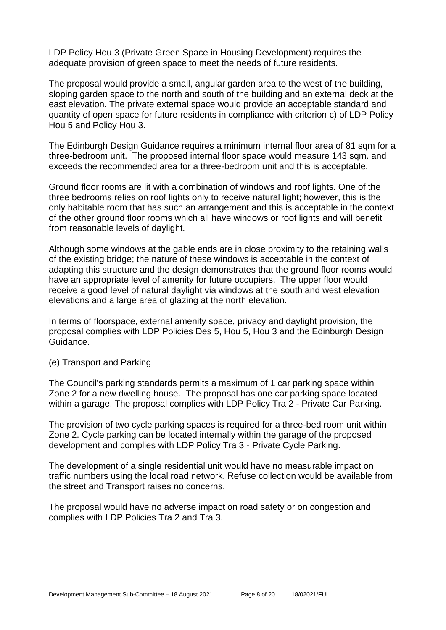LDP Policy Hou 3 (Private Green Space in Housing Development) requires the adequate provision of green space to meet the needs of future residents.

The proposal would provide a small, angular garden area to the west of the building, sloping garden space to the north and south of the building and an external deck at the east elevation. The private external space would provide an acceptable standard and quantity of open space for future residents in compliance with criterion c) of LDP Policy Hou 5 and Policy Hou 3.

The Edinburgh Design Guidance requires a minimum internal floor area of 81 sqm for a three-bedroom unit. The proposed internal floor space would measure 143 sqm. and exceeds the recommended area for a three-bedroom unit and this is acceptable.

Ground floor rooms are lit with a combination of windows and roof lights. One of the three bedrooms relies on roof lights only to receive natural light; however, this is the only habitable room that has such an arrangement and this is acceptable in the context of the other ground floor rooms which all have windows or roof lights and will benefit from reasonable levels of daylight.

Although some windows at the gable ends are in close proximity to the retaining walls of the existing bridge; the nature of these windows is acceptable in the context of adapting this structure and the design demonstrates that the ground floor rooms would have an appropriate level of amenity for future occupiers. The upper floor would receive a good level of natural daylight via windows at the south and west elevation elevations and a large area of glazing at the north elevation.

In terms of floorspace, external amenity space, privacy and daylight provision, the proposal complies with LDP Policies Des 5, Hou 5, Hou 3 and the Edinburgh Design Guidance.

#### (e) Transport and Parking

The Council's parking standards permits a maximum of 1 car parking space within Zone 2 for a new dwelling house. The proposal has one car parking space located within a garage. The proposal complies with LDP Policy Tra 2 - Private Car Parking.

The provision of two cycle parking spaces is required for a three-bed room unit within Zone 2. Cycle parking can be located internally within the garage of the proposed development and complies with LDP Policy Tra 3 - Private Cycle Parking.

The development of a single residential unit would have no measurable impact on traffic numbers using the local road network. Refuse collection would be available from the street and Transport raises no concerns.

The proposal would have no adverse impact on road safety or on congestion and complies with LDP Policies Tra 2 and Tra 3.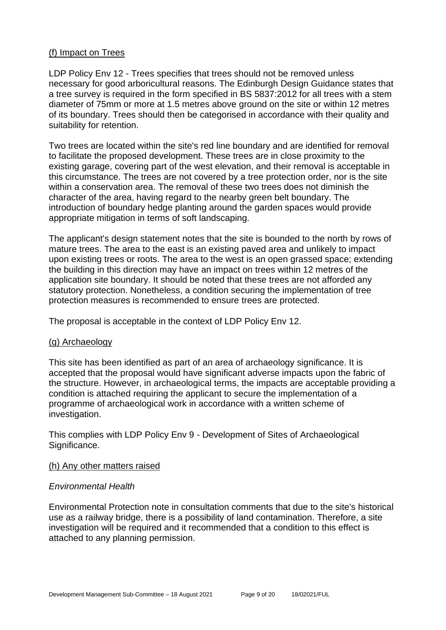#### (f) Impact on Trees

LDP Policy Env 12 - Trees specifies that trees should not be removed unless necessary for good arboricultural reasons. The Edinburgh Design Guidance states that a tree survey is required in the form specified in BS 5837:2012 for all trees with a stem diameter of 75mm or more at 1.5 metres above ground on the site or within 12 metres of its boundary. Trees should then be categorised in accordance with their quality and suitability for retention.

Two trees are located within the site's red line boundary and are identified for removal to facilitate the proposed development. These trees are in close proximity to the existing garage, covering part of the west elevation, and their removal is acceptable in this circumstance. The trees are not covered by a tree protection order, nor is the site within a conservation area. The removal of these two trees does not diminish the character of the area, having regard to the nearby green belt boundary. The introduction of boundary hedge planting around the garden spaces would provide appropriate mitigation in terms of soft landscaping.

The applicant's design statement notes that the site is bounded to the north by rows of mature trees. The area to the east is an existing paved area and unlikely to impact upon existing trees or roots. The area to the west is an open grassed space; extending the building in this direction may have an impact on trees within 12 metres of the application site boundary. It should be noted that these trees are not afforded any statutory protection. Nonetheless, a condition securing the implementation of tree protection measures is recommended to ensure trees are protected.

The proposal is acceptable in the context of LDP Policy Env 12.

#### (g) Archaeology

This site has been identified as part of an area of archaeology significance. It is accepted that the proposal would have significant adverse impacts upon the fabric of the structure. However, in archaeological terms, the impacts are acceptable providing a condition is attached requiring the applicant to secure the implementation of a programme of archaeological work in accordance with a written scheme of investigation.

This complies with LDP Policy Env 9 - Development of Sites of Archaeological Significance.

#### (h) Any other matters raised

#### *Environmental Health*

Environmental Protection note in consultation comments that due to the site's historical use as a railway bridge, there is a possibility of land contamination. Therefore, a site investigation will be required and it recommended that a condition to this effect is attached to any planning permission.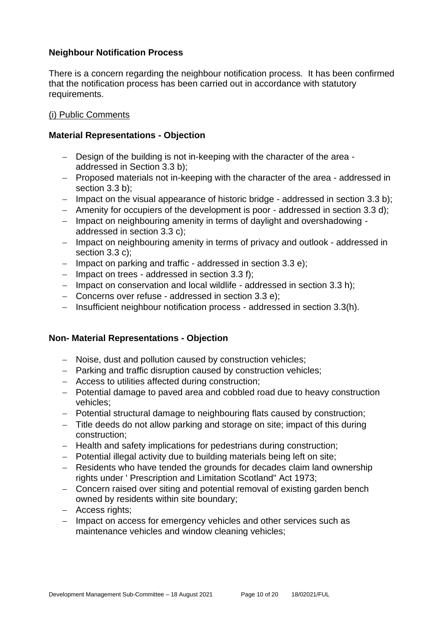#### **Neighbour Notification Process**

There is a concern regarding the neighbour notification process. It has been confirmed that the notification process has been carried out in accordance with statutory requirements.

#### (i) Public Comments

#### **Material Representations - Objection**

- − Design of the building is not in-keeping with the character of the area addressed in Section 3.3 b);
- − Proposed materials not in-keeping with the character of the area addressed in section 3.3 b);
- − Impact on the visual appearance of historic bridge addressed in section 3.3 b);
- − Amenity for occupiers of the development is poor addressed in section 3.3 d);
- − Impact on neighbouring amenity in terms of daylight and overshadowing addressed in section 3.3 c);
- − Impact on neighbouring amenity in terms of privacy and outlook addressed in section 3.3 c);
- − Impact on parking and traffic addressed in section 3.3 e);
- − Impact on trees addressed in section 3.3 f);
- − Impact on conservation and local wildlife addressed in section 3.3 h);
- − Concerns over refuse addressed in section 3.3 e);
- − Insufficient neighbour notification process addressed in section 3.3(h).

# **Non- Material Representations - Objection**

- − Noise, dust and pollution caused by construction vehicles;
- − Parking and traffic disruption caused by construction vehicles;
- − Access to utilities affected during construction;
- − Potential damage to paved area and cobbled road due to heavy construction vehicles;
- − Potential structural damage to neighbouring flats caused by construction;
- − Title deeds do not allow parking and storage on site; impact of this during construction;
- − Health and safety implications for pedestrians during construction;
- − Potential illegal activity due to building materials being left on site;
- − Residents who have tended the grounds for decades claim land ownership rights under ' Prescription and Limitation Scotland" Act 1973;
- − Concern raised over siting and potential removal of existing garden bench owned by residents within site boundary;
- − Access rights;
- − Impact on access for emergency vehicles and other services such as maintenance vehicles and window cleaning vehicles;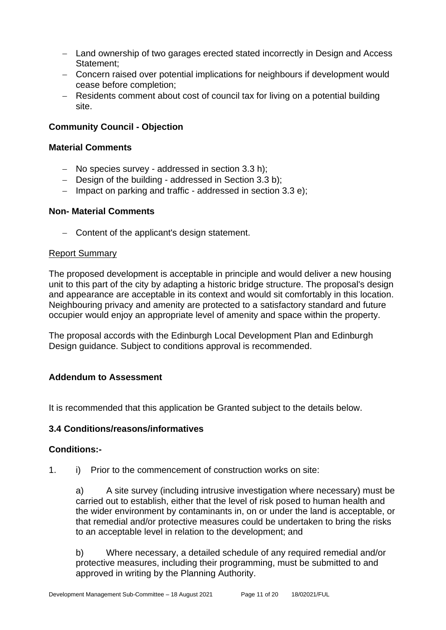- − Land ownership of two garages erected stated incorrectly in Design and Access Statement;
- − Concern raised over potential implications for neighbours if development would cease before completion;
- − Residents comment about cost of council tax for living on a potential building site.

# **Community Council - Objection**

#### **Material Comments**

- − No species survey addressed in section 3.3 h);
- − Design of the building addressed in Section 3.3 b);
- − Impact on parking and traffic addressed in section 3.3 e);

#### **Non- Material Comments**

− Content of the applicant's design statement.

#### Report Summary

The proposed development is acceptable in principle and would deliver a new housing unit to this part of the city by adapting a historic bridge structure. The proposal's design and appearance are acceptable in its context and would sit comfortably in this location. Neighbouring privacy and amenity are protected to a satisfactory standard and future occupier would enjoy an appropriate level of amenity and space within the property.

The proposal accords with the Edinburgh Local Development Plan and Edinburgh Design guidance. Subject to conditions approval is recommended.

#### **Addendum to Assessment**

It is recommended that this application be Granted subject to the details below.

#### **3.4 Conditions/reasons/informatives**

#### **Conditions:-**

1. i) Prior to the commencement of construction works on site:

a) A site survey (including intrusive investigation where necessary) must be carried out to establish, either that the level of risk posed to human health and the wider environment by contaminants in, on or under the land is acceptable, or that remedial and/or protective measures could be undertaken to bring the risks to an acceptable level in relation to the development; and

b) Where necessary, a detailed schedule of any required remedial and/or protective measures, including their programming, must be submitted to and approved in writing by the Planning Authority.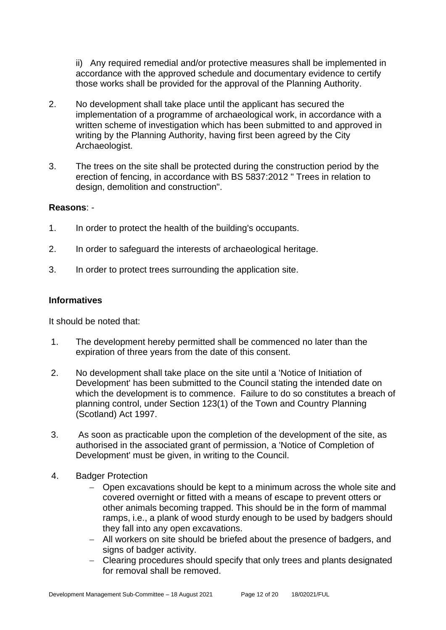ii) Any required remedial and/or protective measures shall be implemented in accordance with the approved schedule and documentary evidence to certify those works shall be provided for the approval of the Planning Authority.

- 2. No development shall take place until the applicant has secured the implementation of a programme of archaeological work, in accordance with a written scheme of investigation which has been submitted to and approved in writing by the Planning Authority, having first been agreed by the City Archaeologist.
- 3. The trees on the site shall be protected during the construction period by the erection of fencing, in accordance with BS 5837:2012 " Trees in relation to design, demolition and construction".

#### **Reasons**: -

- 1. In order to protect the health of the building's occupants.
- 2. In order to safeguard the interests of archaeological heritage.
- 3. In order to protect trees surrounding the application site.

#### **Informatives**

It should be noted that:

- 1. The development hereby permitted shall be commenced no later than the expiration of three years from the date of this consent.
- 2. No development shall take place on the site until a 'Notice of Initiation of Development' has been submitted to the Council stating the intended date on which the development is to commence. Failure to do so constitutes a breach of planning control, under Section 123(1) of the Town and Country Planning (Scotland) Act 1997.
- 3. As soon as practicable upon the completion of the development of the site, as authorised in the associated grant of permission, a 'Notice of Completion of Development' must be given, in writing to the Council.
- 4. Badger Protection
	- − Open excavations should be kept to a minimum across the whole site and covered overnight or fitted with a means of escape to prevent otters or other animals becoming trapped. This should be in the form of mammal ramps, i.e., a plank of wood sturdy enough to be used by badgers should they fall into any open excavations.
	- − All workers on site should be briefed about the presence of badgers, and signs of badger activity.
	- − Clearing procedures should specify that only trees and plants designated for removal shall be removed.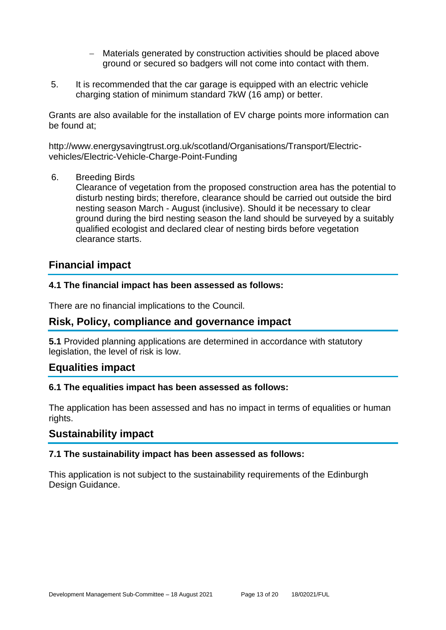- − Materials generated by construction activities should be placed above ground or secured so badgers will not come into contact with them.
- 5. It is recommended that the car garage is equipped with an electric vehicle charging station of minimum standard 7kW (16 amp) or better.

Grants are also available for the installation of EV charge points more information can be found at;

http://www.energysavingtrust.org.uk/scotland/Organisations/Transport/Electricvehicles/Electric-Vehicle-Charge-Point-Funding

6. Breeding Birds

Clearance of vegetation from the proposed construction area has the potential to disturb nesting birds; therefore, clearance should be carried out outside the bird nesting season March - August (inclusive). Should it be necessary to clear ground during the bird nesting season the land should be surveyed by a suitably qualified ecologist and declared clear of nesting birds before vegetation clearance starts.

# **Financial impact**

#### **4.1 The financial impact has been assessed as follows:**

There are no financial implications to the Council.

# **Risk, Policy, compliance and governance impact**

**5.1** Provided planning applications are determined in accordance with statutory legislation, the level of risk is low.

#### **Equalities impact**

#### **6.1 The equalities impact has been assessed as follows:**

The application has been assessed and has no impact in terms of equalities or human rights.

# **Sustainability impact**

#### **7.1 The sustainability impact has been assessed as follows:**

This application is not subject to the sustainability requirements of the Edinburgh Design Guidance.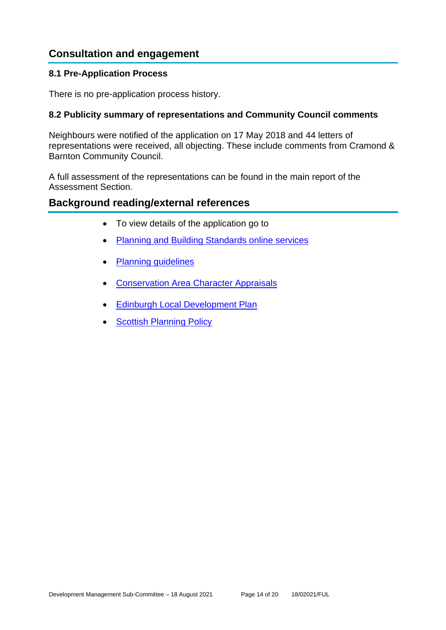# **Consultation and engagement**

#### **8.1 Pre-Application Process**

There is no pre-application process history.

#### **8.2 Publicity summary of representations and Community Council comments**

Neighbours were notified of the application on 17 May 2018 and 44 letters of representations were received, all objecting. These include comments from Cramond & Barnton Community Council.

A full assessment of the representations can be found in the main report of the Assessment Section.

# **Background reading/external references**

- To view details of the application go to
- [Planning and Building Standards online services](https://citydev-portal.edinburgh.gov.uk/idoxpa-web/search.do?action=simple&searchType=Application)
- [Planning guidelines](http://www.edinburgh.gov.uk/planningguidelines)
- [Conservation Area Character Appraisals](http://www.edinburgh.gov.uk/characterappraisals)
- **[Edinburgh Local Development Plan](http://www.edinburgh.gov.uk/localdevelopmentplan)**
- **[Scottish Planning Policy](http://www.scotland.gov.uk/Topics/Built-Environment/planning/Policy)**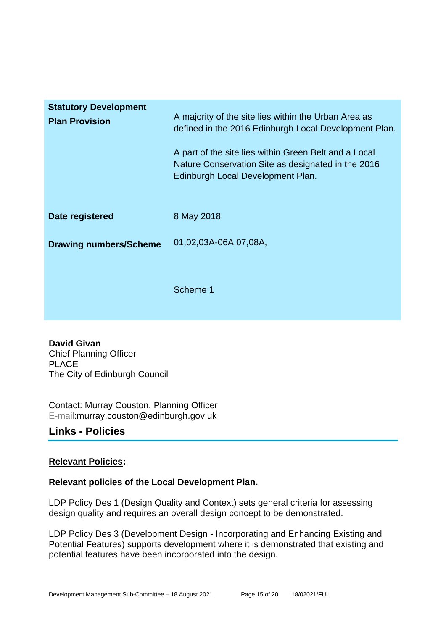| <b>Statutory Development</b><br><b>Plan Provision</b> | A majority of the site lies within the Urban Area as<br>defined in the 2016 Edinburgh Local Development Plan.<br>A part of the site lies within Green Belt and a Local<br>Nature Conservation Site as designated in the 2016<br>Edinburgh Local Development Plan. |
|-------------------------------------------------------|-------------------------------------------------------------------------------------------------------------------------------------------------------------------------------------------------------------------------------------------------------------------|
| Date registered                                       | 8 May 2018                                                                                                                                                                                                                                                        |
| <b>Drawing numbers/Scheme</b>                         | 01,02,03A-06A,07,08A,                                                                                                                                                                                                                                             |
|                                                       | Scheme 1                                                                                                                                                                                                                                                          |

**David Givan** Chief Planning Officer PLACE The City of Edinburgh Council

Contact: Murray Couston, Planning Officer E-mail:murray.couston@edinburgh.gov.uk

# **Links - Policies**

# **Relevant Policies:**

#### **Relevant policies of the Local Development Plan.**

LDP Policy Des 1 (Design Quality and Context) sets general criteria for assessing design quality and requires an overall design concept to be demonstrated.

LDP Policy Des 3 (Development Design - Incorporating and Enhancing Existing and Potential Features) supports development where it is demonstrated that existing and potential features have been incorporated into the design.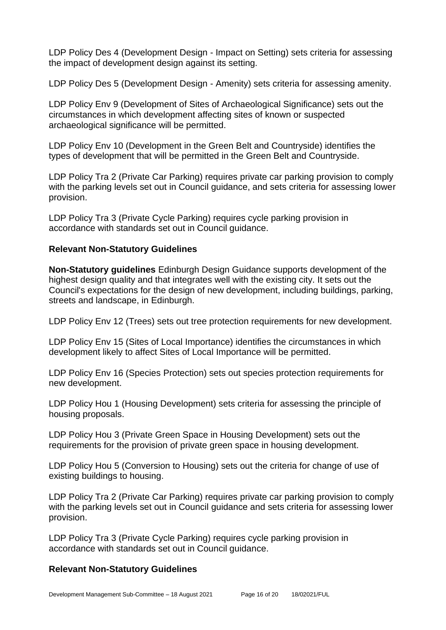LDP Policy Des 4 (Development Design - Impact on Setting) sets criteria for assessing the impact of development design against its setting.

LDP Policy Des 5 (Development Design - Amenity) sets criteria for assessing amenity.

LDP Policy Env 9 (Development of Sites of Archaeological Significance) sets out the circumstances in which development affecting sites of known or suspected archaeological significance will be permitted.

LDP Policy Env 10 (Development in the Green Belt and Countryside) identifies the types of development that will be permitted in the Green Belt and Countryside.

LDP Policy Tra 2 (Private Car Parking) requires private car parking provision to comply with the parking levels set out in Council guidance, and sets criteria for assessing lower provision.

LDP Policy Tra 3 (Private Cycle Parking) requires cycle parking provision in accordance with standards set out in Council guidance.

#### **Relevant Non-Statutory Guidelines**

**Non-Statutory guidelines** Edinburgh Design Guidance supports development of the highest design quality and that integrates well with the existing city. It sets out the Council's expectations for the design of new development, including buildings, parking, streets and landscape, in Edinburgh.

LDP Policy Env 12 (Trees) sets out tree protection requirements for new development.

LDP Policy Env 15 (Sites of Local Importance) identifies the circumstances in which development likely to affect Sites of Local Importance will be permitted.

LDP Policy Env 16 (Species Protection) sets out species protection requirements for new development.

LDP Policy Hou 1 (Housing Development) sets criteria for assessing the principle of housing proposals.

LDP Policy Hou 3 (Private Green Space in Housing Development) sets out the requirements for the provision of private green space in housing development.

LDP Policy Hou 5 (Conversion to Housing) sets out the criteria for change of use of existing buildings to housing.

LDP Policy Tra 2 (Private Car Parking) requires private car parking provision to comply with the parking levels set out in Council guidance and sets criteria for assessing lower provision.

LDP Policy Tra 3 (Private Cycle Parking) requires cycle parking provision in accordance with standards set out in Council guidance.

# **Relevant Non-Statutory Guidelines**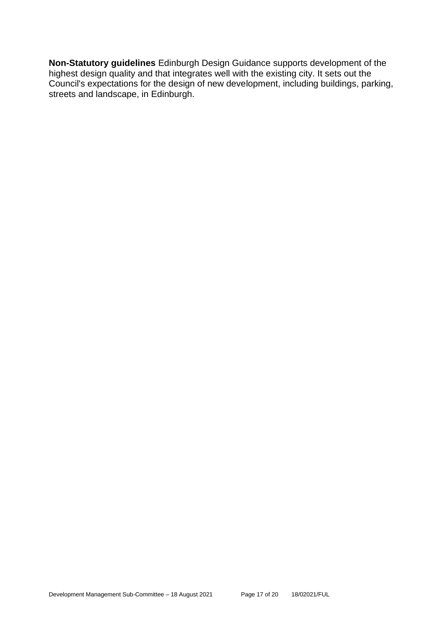**Non-Statutory guidelines** Edinburgh Design Guidance supports development of the highest design quality and that integrates well with the existing city. It sets out the Council's expectations for the design of new development, including buildings, parking, streets and landscape, in Edinburgh.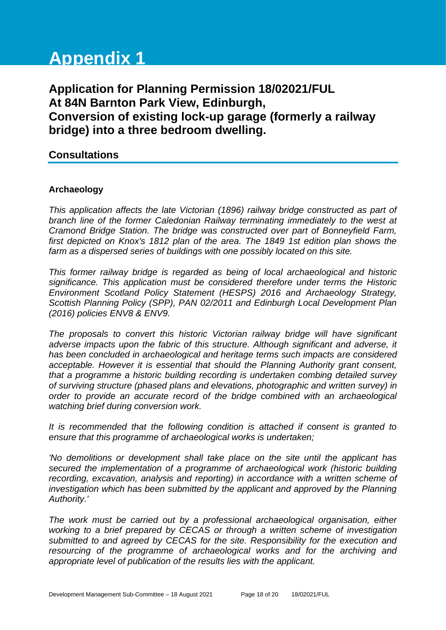# **Appendix 1**

**Application for Planning Permission 18/02021/FUL At 84N Barnton Park View, Edinburgh, Conversion of existing lock-up garage (formerly a railway bridge) into a three bedroom dwelling.**

# **Consultations**

#### **Archaeology**

*This application affects the late Victorian (1896) railway bridge constructed as part of branch line of the former Caledonian Railway terminating immediately to the west at Cramond Bridge Station. The bridge was constructed over part of Bonneyfield Farm, first depicted on Knox's 1812 plan of the area. The 1849 1st edition plan shows the farm as a dispersed series of buildings with one possibly located on this site.* 

*This former railway bridge is regarded as being of local archaeological and historic significance. This application must be considered therefore under terms the Historic Environment Scotland Policy Statement (HESPS) 2016 and Archaeology Strategy, Scottish Planning Policy (SPP), PAN 02/2011 and Edinburgh Local Development Plan (2016) policies ENV8 & ENV9.* 

*The proposals to convert this historic Victorian railway bridge will have significant adverse impacts upon the fabric of this structure. Although significant and adverse, it has been concluded in archaeological and heritage terms such impacts are considered acceptable. However it is essential that should the Planning Authority grant consent, that a programme a historic building recording is undertaken combing detailed survey of surviving structure (phased plans and elevations, photographic and written survey) in order to provide an accurate record of the bridge combined with an archaeological watching brief during conversion work.*

*It is recommended that the following condition is attached if consent is granted to ensure that this programme of archaeological works is undertaken;*

*'No demolitions or development shall take place on the site until the applicant has secured the implementation of a programme of archaeological work (historic building recording, excavation, analysis and reporting) in accordance with a written scheme of investigation which has been submitted by the applicant and approved by the Planning Authority.'* 

*The work must be carried out by a professional archaeological organisation, either working to a brief prepared by CECAS or through a written scheme of investigation submitted to and agreed by CECAS for the site. Responsibility for the execution and resourcing of the programme of archaeological works and for the archiving and appropriate level of publication of the results lies with the applicant.*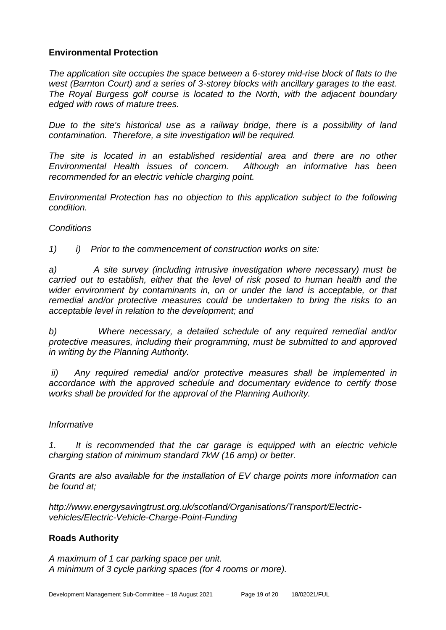#### **Environmental Protection**

*The application site occupies the space between a 6-storey mid-rise block of flats to the west (Barnton Court) and a series of 3-storey blocks with ancillary garages to the east. The Royal Burgess golf course is located to the North, with the adjacent boundary edged with rows of mature trees.* 

*Due to the site's historical use as a railway bridge, there is a possibility of land contamination. Therefore, a site investigation will be required.* 

*The site is located in an established residential area and there are no other Environmental Health issues of concern. Although an informative has been recommended for an electric vehicle charging point.*

*Environmental Protection has no objection to this application subject to the following condition.*

#### *Conditions*

*1) i) Prior to the commencement of construction works on site:*

*a) A site survey (including intrusive investigation where necessary) must be carried out to establish, either that the level of risk posed to human health and the wider environment by contaminants in, on or under the land is acceptable, or that remedial and/or protective measures could be undertaken to bring the risks to an acceptable level in relation to the development; and*

*b) Where necessary, a detailed schedule of any required remedial and/or protective measures, including their programming, must be submitted to and approved in writing by the Planning Authority.*

*ii) Any required remedial and/or protective measures shall be implemented in accordance with the approved schedule and documentary evidence to certify those works shall be provided for the approval of the Planning Authority.*

#### *Informative*

*1. It is recommended that the car garage is equipped with an electric vehicle charging station of minimum standard 7kW (16 amp) or better.*

*Grants are also available for the installation of EV charge points more information can be found at;*

*http://www.energysavingtrust.org.uk/scotland/Organisations/Transport/Electricvehicles/Electric-Vehicle-Charge-Point-Funding*

#### **Roads Authority**

*A maximum of 1 car parking space per unit. A minimum of 3 cycle parking spaces (for 4 rooms or more).*